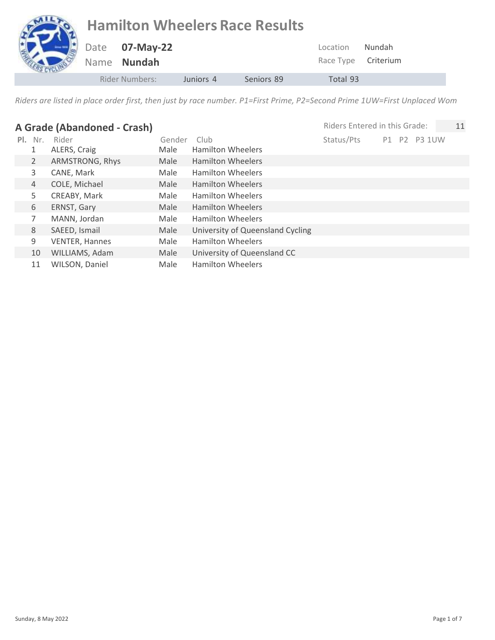## **Hamilton Wheelers Race Results** Date **07-May-22** Name **Nundah** Location Nundah Race Type Criterium Rider Numbers: Juniors 4 Seniors 89 Total 93

| A Grade (Abandoned - Crash) |                |                       |        |                                  | Riders Entered in this Grade: |    |                | 11            |  |
|-----------------------------|----------------|-----------------------|--------|----------------------------------|-------------------------------|----|----------------|---------------|--|
| $PL_{-}$                    | Nr.            | Rider                 | Gender | Club                             | Status/Pts                    | P1 | P <sub>2</sub> | <b>P3 1UW</b> |  |
|                             | 1              | ALERS, Craig          | Male   | <b>Hamilton Wheelers</b>         |                               |    |                |               |  |
|                             | $\overline{2}$ | ARMSTRONG, Rhys       | Male   | <b>Hamilton Wheelers</b>         |                               |    |                |               |  |
|                             | 3              | CANE, Mark            | Male   | <b>Hamilton Wheelers</b>         |                               |    |                |               |  |
| $\overline{4}$              |                | COLE, Michael         | Male   | <b>Hamilton Wheelers</b>         |                               |    |                |               |  |
|                             | 5.             | CREABY, Mark          | Male   | <b>Hamilton Wheelers</b>         |                               |    |                |               |  |
| 6                           |                | ERNST, Gary           | Male   | <b>Hamilton Wheelers</b>         |                               |    |                |               |  |
|                             | 7              | MANN, Jordan          | Male   | <b>Hamilton Wheelers</b>         |                               |    |                |               |  |
| 8                           |                | SAEED, Ismail         | Male   | University of Queensland Cycling |                               |    |                |               |  |
| 9                           |                | <b>VENTER, Hannes</b> | Male   | <b>Hamilton Wheelers</b>         |                               |    |                |               |  |
|                             | 10             | WILLIAMS, Adam        | Male   | University of Queensland CC      |                               |    |                |               |  |
|                             | 11             | WILSON, Daniel        | Male   | <b>Hamilton Wheelers</b>         |                               |    |                |               |  |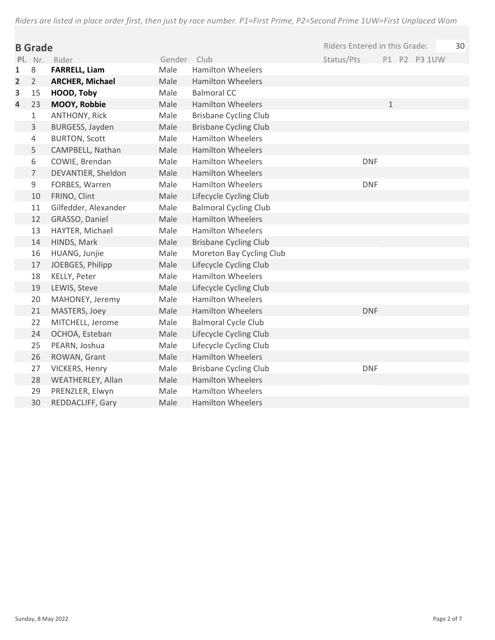| <b>B</b> Grade |                |                        |             | Riders Entered in this Grade: |            |              |  |              |  |
|----------------|----------------|------------------------|-------------|-------------------------------|------------|--------------|--|--------------|--|
|                |                | Pl. Nr. Rider          | Gender Club |                               | Status/Pts |              |  | P1 P2 P3 1UW |  |
| 1              | 8              | <b>FARRELL, Liam</b>   | Male        | <b>Hamilton Wheelers</b>      |            |              |  |              |  |
| 2              | $\overline{2}$ | <b>ARCHER, Michael</b> | Male        | <b>Hamilton Wheelers</b>      |            |              |  |              |  |
| 3              | 15             | HOOD, Toby             | Male        | <b>Balmoral CC</b>            |            |              |  |              |  |
| 4              | 23             | MOOY, Robbie           | Male        | <b>Hamilton Wheelers</b>      |            | $\mathbf{1}$ |  |              |  |
|                | $\mathbf 1$    | <b>ANTHONY, Rick</b>   | Male        | <b>Brisbane Cycling Club</b>  |            |              |  |              |  |
|                | $\overline{3}$ | BURGESS, Jayden        | Male        | <b>Brisbane Cycling Club</b>  |            |              |  |              |  |
|                | $\overline{4}$ | <b>BURTON, Scott</b>   | Male        | <b>Hamilton Wheelers</b>      |            |              |  |              |  |
|                | 5              | CAMPBELL, Nathan       | Male        | <b>Hamilton Wheelers</b>      |            |              |  |              |  |
|                | 6              | COWIE, Brendan         | Male        | <b>Hamilton Wheelers</b>      | <b>DNF</b> |              |  |              |  |
|                | $\overline{7}$ | DEVANTIER, Sheldon     | Male        | <b>Hamilton Wheelers</b>      |            |              |  |              |  |
|                | 9              | FORBES, Warren         | Male        | <b>Hamilton Wheelers</b>      | <b>DNF</b> |              |  |              |  |
|                | 10             | FRINO, Clint           | Male        | Lifecycle Cycling Club        |            |              |  |              |  |
|                | 11             | Gilfedder, Alexander   | Male        | <b>Balmoral Cycling Club</b>  |            |              |  |              |  |
|                | 12             | GRASSO, Daniel         | Male        | <b>Hamilton Wheelers</b>      |            |              |  |              |  |
|                | 13             | HAYTER, Michael        | Male        | <b>Hamilton Wheelers</b>      |            |              |  |              |  |
|                | 14             | HINDS, Mark            | Male        | <b>Brisbane Cycling Club</b>  |            |              |  |              |  |
|                | 16             | HUANG, Junjie          | Male        | Moreton Bay Cycling Club      |            |              |  |              |  |
|                | 17             | JOEBGES, Philipp       | Male        | Lifecycle Cycling Club        |            |              |  |              |  |
|                | 18             | KELLY, Peter           | Male        | <b>Hamilton Wheelers</b>      |            |              |  |              |  |
|                | 19             | LEWIS, Steve           | Male        | Lifecycle Cycling Club        |            |              |  |              |  |
|                | 20             | MAHONEY, Jeremy        | Male        | <b>Hamilton Wheelers</b>      |            |              |  |              |  |
|                | 21             | MASTERS, Joey          | Male        | <b>Hamilton Wheelers</b>      | <b>DNF</b> |              |  |              |  |
|                | 22             | MITCHELL, Jerome       | Male        | <b>Balmoral Cycle Club</b>    |            |              |  |              |  |
|                | 24             | OCHOA, Esteban         | Male        | Lifecycle Cycling Club        |            |              |  |              |  |
|                | 25             | PEARN, Joshua          | Male        | Lifecycle Cycling Club        |            |              |  |              |  |
|                | 26             | ROWAN, Grant           | Male        | <b>Hamilton Wheelers</b>      |            |              |  |              |  |
|                | 27             | VICKERS, Henry         | Male        | <b>Brisbane Cycling Club</b>  | <b>DNF</b> |              |  |              |  |
|                | 28             | WEATHERLEY, Allan      | Male        | <b>Hamilton Wheelers</b>      |            |              |  |              |  |
|                | 29             | PRENZLER, Elwyn        | Male        | <b>Hamilton Wheelers</b>      |            |              |  |              |  |
|                | 30             | REDDACLIFF, Gary       | Male        | <b>Hamilton Wheelers</b>      |            |              |  |              |  |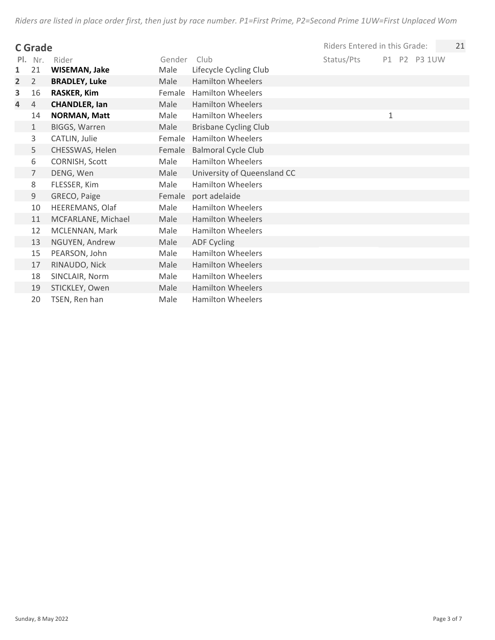|                | C Grade        |                      |        |                              | Riders Entered in this Grade: |   |              | 21 |
|----------------|----------------|----------------------|--------|------------------------------|-------------------------------|---|--------------|----|
| PI.            | Nr.            | Rider                | Gender | Club                         | Status/Pts                    |   | P1 P2 P3 1UW |    |
| 1              | 21             | WISEMAN, Jake        | Male   | Lifecycle Cycling Club       |                               |   |              |    |
| $\overline{2}$ | $\overline{2}$ | <b>BRADLEY, Luke</b> | Male   | <b>Hamilton Wheelers</b>     |                               |   |              |    |
| 3              | 16             | <b>RASKER, Kim</b>   | Female | <b>Hamilton Wheelers</b>     |                               |   |              |    |
| 4              | 4              | <b>CHANDLER, lan</b> | Male   | <b>Hamilton Wheelers</b>     |                               |   |              |    |
|                | 14             | <b>NORMAN, Matt</b>  | Male   | <b>Hamilton Wheelers</b>     |                               | 1 |              |    |
|                | $\mathbf{1}$   | BIGGS, Warren        | Male   | <b>Brisbane Cycling Club</b> |                               |   |              |    |
|                | 3              | CATLIN, Julie        | Female | <b>Hamilton Wheelers</b>     |                               |   |              |    |
|                | 5              | CHESSWAS, Helen      | Female | <b>Balmoral Cycle Club</b>   |                               |   |              |    |
|                | 6              | CORNISH, Scott       | Male   | <b>Hamilton Wheelers</b>     |                               |   |              |    |
|                | $\overline{7}$ | DENG, Wen            | Male   | University of Queensland CC  |                               |   |              |    |
|                | 8              | FLESSER, Kim         | Male   | <b>Hamilton Wheelers</b>     |                               |   |              |    |
|                | 9              | GRECO, Paige         | Female | port adelaide                |                               |   |              |    |
|                | 10             | HEEREMANS, Olaf      | Male   | <b>Hamilton Wheelers</b>     |                               |   |              |    |
|                | 11             | MCFARLANE, Michael   | Male   | <b>Hamilton Wheelers</b>     |                               |   |              |    |
|                | 12             | MCLENNAN, Mark       | Male   | <b>Hamilton Wheelers</b>     |                               |   |              |    |
|                | 13             | NGUYEN, Andrew       | Male   | <b>ADF Cycling</b>           |                               |   |              |    |
|                | 15             | PEARSON, John        | Male   | <b>Hamilton Wheelers</b>     |                               |   |              |    |
|                | 17             | RINAUDO, Nick        | Male   | <b>Hamilton Wheelers</b>     |                               |   |              |    |
|                | 18             | SINCLAIR, Norm       | Male   | <b>Hamilton Wheelers</b>     |                               |   |              |    |
|                | 19             | STICKLEY, Owen       | Male   | <b>Hamilton Wheelers</b>     |                               |   |              |    |
|                | 20             | TSEN, Ren han        | Male   | <b>Hamilton Wheelers</b>     |                               |   |              |    |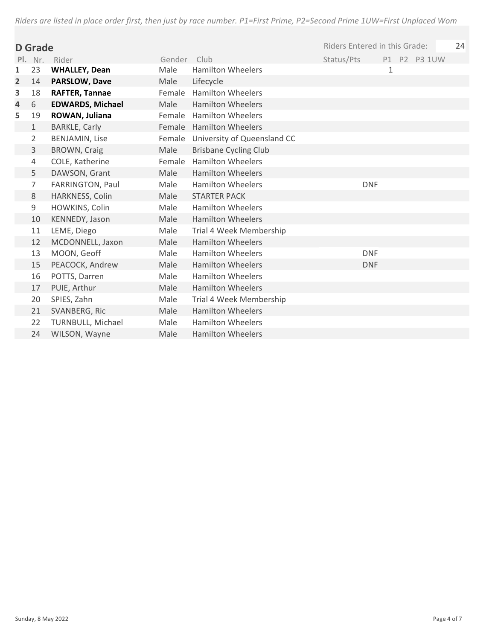|                         | D Grade        |                          |             |                                    | Riders Entered in this Grade: |   |              | 24 |
|-------------------------|----------------|--------------------------|-------------|------------------------------------|-------------------------------|---|--------------|----|
|                         |                | Pl. Nr. Rider            | Gender Club |                                    | Status/Pts                    |   | P1 P2 P3 1UW |    |
| 1                       | 23             | <b>WHALLEY, Dean</b>     | Male        | <b>Hamilton Wheelers</b>           |                               | 1 |              |    |
| $\overline{\mathbf{2}}$ | 14             | <b>PARSLOW, Dave</b>     | Male        | Lifecycle                          |                               |   |              |    |
| 3                       | 18             | <b>RAFTER, Tannae</b>    |             | Female Hamilton Wheelers           |                               |   |              |    |
| 4                       | 6              | <b>EDWARDS, Michael</b>  | Male        | <b>Hamilton Wheelers</b>           |                               |   |              |    |
| 5                       | 19             | ROWAN, Juliana           | Female      | <b>Hamilton Wheelers</b>           |                               |   |              |    |
|                         | $\mathbf{1}$   | <b>BARKLE, Carly</b>     |             | Female Hamilton Wheelers           |                               |   |              |    |
|                         | $\overline{2}$ | <b>BENJAMIN, Lise</b>    |             | Female University of Queensland CC |                               |   |              |    |
|                         | 3              | <b>BROWN, Craig</b>      | Male        | <b>Brisbane Cycling Club</b>       |                               |   |              |    |
|                         | 4              | COLE, Katherine          | Female      | <b>Hamilton Wheelers</b>           |                               |   |              |    |
|                         | 5              | DAWSON, Grant            | Male        | <b>Hamilton Wheelers</b>           |                               |   |              |    |
|                         | 7              | FARRINGTON, Paul         | Male        | <b>Hamilton Wheelers</b>           | <b>DNF</b>                    |   |              |    |
|                         | 8              | HARKNESS, Colin          | Male        | <b>STARTER PACK</b>                |                               |   |              |    |
|                         | 9              | HOWKINS, Colin           | Male        | <b>Hamilton Wheelers</b>           |                               |   |              |    |
|                         | 10             | KENNEDY, Jason           | Male        | <b>Hamilton Wheelers</b>           |                               |   |              |    |
|                         | 11             | LEME, Diego              | Male        | Trial 4 Week Membership            |                               |   |              |    |
|                         | 12             | MCDONNELL, Jaxon         | Male        | <b>Hamilton Wheelers</b>           |                               |   |              |    |
|                         | 13             | MOON, Geoff              | Male        | <b>Hamilton Wheelers</b>           | <b>DNF</b>                    |   |              |    |
|                         | 15             | PEACOCK, Andrew          | Male        | <b>Hamilton Wheelers</b>           | <b>DNF</b>                    |   |              |    |
|                         | 16             | POTTS, Darren            | Male        | <b>Hamilton Wheelers</b>           |                               |   |              |    |
|                         | 17             | PUIE, Arthur             | Male        | <b>Hamilton Wheelers</b>           |                               |   |              |    |
|                         | 20             | SPIES, Zahn              | Male        | Trial 4 Week Membership            |                               |   |              |    |
|                         | 21             | SVANBERG, Ric            | Male        | <b>Hamilton Wheelers</b>           |                               |   |              |    |
|                         | 22             | <b>TURNBULL, Michael</b> | Male        | <b>Hamilton Wheelers</b>           |                               |   |              |    |
|                         | 24             | WILSON, Wayne            | Male        | <b>Hamilton Wheelers</b>           |                               |   |              |    |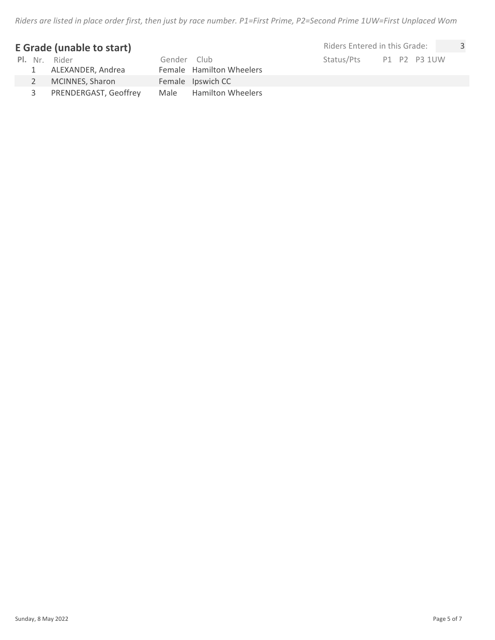## **E Grade (unable to start)**

|   | <b>Pl.</b> Nr. Rider<br>1 ALEXANDER, Andrea | Gender Club | Female Hamilton Wheelers | Status/Pts | P1 P2 P3 |  |
|---|---------------------------------------------|-------------|--------------------------|------------|----------|--|
|   | MCINNES, Sharon                             |             | Female Ipswich CC        |            |          |  |
| 3 | PRENDERGAST, Geoffrey                       |             | Male Hamilton Wheelers   |            |          |  |

Sunday, 8 May 2022 **Page 5 of 7** Page 5 of 7

 $P1$  P2 P3 1UW Riders Entered in this Grade: 3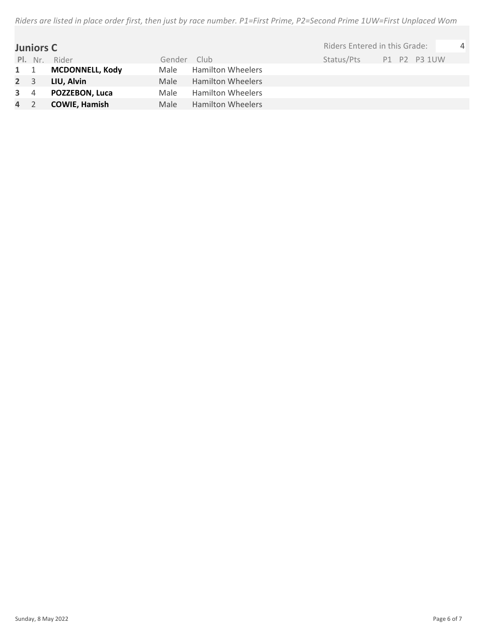|             | <b>Juniors C</b> |                        |        |                          | Riders Entered in this Grade: |              | $\overline{4}$ |
|-------------|------------------|------------------------|--------|--------------------------|-------------------------------|--------------|----------------|
|             | Pl. Nr.          | Rider                  | Gender | Club                     | Status/Pts                    | P1 P2 P3 1UW |                |
| $1 \quad 1$ |                  | <b>MCDONNELL, Kody</b> | Male   | <b>Hamilton Wheelers</b> |                               |              |                |
| $2 \quad 3$ |                  | LIU, Alvin             | Male   | <b>Hamilton Wheelers</b> |                               |              |                |
| $3 \quad 4$ |                  | POZZEBON, Luca         | Male   | <b>Hamilton Wheelers</b> |                               |              |                |
| 4 2         |                  | <b>COWIE, Hamish</b>   | Male   | <b>Hamilton Wheelers</b> |                               |              |                |